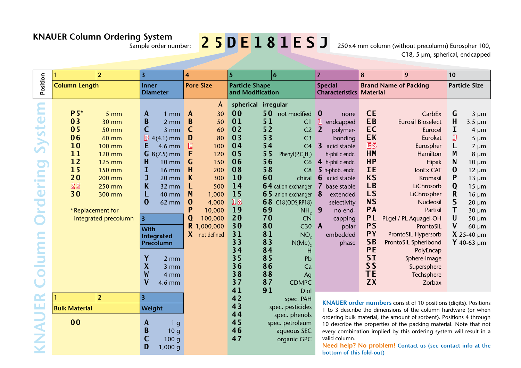# **KNAUER Column Ordering System**

## Sample order number: **2 5 D E 1 8 1 E S J**

250 x 4 mm column (without precolumn) Eurospher 100, C18, 5 µm, spherical, endcapped

|                                                                                                                                                                                                                        |                                                                                                     | $\overline{2}$                                                                                                                                                       | $\overline{\mathbf{3}}$                                                                                                                  |                                                                                                                                                                                                                                                          | 4                                                                                                         |                                                                                                                                       | $5\overline{5}$                                                                                                                                                                                   |                                                                                                                      | 6                                                                                                                                                                                                                                                                                                                                                     | $\overline{7}$                           |                                                                                                                                                                                                                                          | 8                                                                                                                                                                                                             |  | 9                                                                                                                                                                                                                                                                                                                                                | 10                                                                 |                                                                                                                                                                                                                                            |
|------------------------------------------------------------------------------------------------------------------------------------------------------------------------------------------------------------------------|-----------------------------------------------------------------------------------------------------|----------------------------------------------------------------------------------------------------------------------------------------------------------------------|------------------------------------------------------------------------------------------------------------------------------------------|----------------------------------------------------------------------------------------------------------------------------------------------------------------------------------------------------------------------------------------------------------|-----------------------------------------------------------------------------------------------------------|---------------------------------------------------------------------------------------------------------------------------------------|---------------------------------------------------------------------------------------------------------------------------------------------------------------------------------------------------|----------------------------------------------------------------------------------------------------------------------|-------------------------------------------------------------------------------------------------------------------------------------------------------------------------------------------------------------------------------------------------------------------------------------------------------------------------------------------------------|------------------------------------------|------------------------------------------------------------------------------------------------------------------------------------------------------------------------------------------------------------------------------------------|---------------------------------------------------------------------------------------------------------------------------------------------------------------------------------------------------------------|--|--------------------------------------------------------------------------------------------------------------------------------------------------------------------------------------------------------------------------------------------------------------------------------------------------------------------------------------------------|--------------------------------------------------------------------|--------------------------------------------------------------------------------------------------------------------------------------------------------------------------------------------------------------------------------------------|
| Position                                                                                                                                                                                                               | <b>Column Length</b>                                                                                |                                                                                                                                                                      | <b>Inner</b><br><b>Diameter</b>                                                                                                          |                                                                                                                                                                                                                                                          | <b>Pore Size</b>                                                                                          |                                                                                                                                       | <b>Particle Shape</b><br>and Modification                                                                                                                                                         |                                                                                                                      |                                                                                                                                                                                                                                                                                                                                                       | <b>Special</b><br><b>Characteristics</b> |                                                                                                                                                                                                                                          | <b>Brand Name of Packing</b><br><b>Material</b>                                                                                                                                                               |  | <b>Particle Size</b>                                                                                                                                                                                                                                                                                                                             |                                                                    |                                                                                                                                                                                                                                            |
| <u>ے</u><br>Syste<br>$\overline{\mathbf{C}}$<br>$\overline{\phantom{a}}$<br>$\mathbf{r}$<br>$\mathbf{r}$<br>$\overline{\phantom{0}}$<br>$\mathbf 0$<br>P<br><b>Contract</b><br>▬<br>$\sim$<br><b>Contract</b><br>است ا | $P 5^*$<br>03<br>0 <sub>5</sub><br>06<br>10<br>11<br>12<br>15<br>20<br>25<br>30<br>*Replacement for | 5 <sub>mm</sub><br><b>30 mm</b><br><b>50 mm</b><br>60 mm<br><b>100 mm</b><br>120 mm<br><b>125 mm</b><br>150 mm<br>200 mm<br>250 mm<br>300 mm<br>integrated precolumn | A<br>B<br>$\mathsf{C}$<br>E<br>H<br>I<br>J<br>K<br>L<br>$\bf{0}$<br>$\overline{3}$<br>With<br>Y<br>$\boldsymbol{X}$<br>W<br>$\mathsf{V}$ | $1 \text{ mm}$<br>2 mm<br>$3 \, \text{mm}$<br>$\mathbb{D}$ 4(4.1) mm<br>4.6 mm<br>$G$ 8(7.5) mm<br><b>10 mm</b><br><b>16 mm</b><br>$20 \, \text{mm}$<br>32 mm<br>40 mm<br>62 mm<br>Integrated<br>Precolumn<br>$2 \, \text{mm}$<br>3 mm<br>4 mm<br>4.6 mm | A<br>B<br>$\mathsf{C}$<br>D<br>$\mathbb{E}$<br>F<br>G<br>H<br>K<br>L<br>M<br>$\bf{0}$<br>P<br>Q<br>R<br>X | Å<br>30<br>50<br>60<br>80<br>100<br>120<br>150<br>200<br>300<br>500<br>1,000<br>4,000<br>10,000<br>100,000<br>,000,000<br>not defined | spherical irregular<br>00<br>01<br>0 <sub>2</sub><br>0 <sub>3</sub><br>04<br>0 <sub>5</sub><br>06<br>08<br>10<br>14<br>15<br>18<br>19<br>20<br>30<br>31<br>33<br>34<br>35<br>36<br>38<br>37<br>41 | 50<br>51<br>52<br>53<br>54<br>55<br>56<br>58<br>60<br>69<br>70<br>80<br>81<br>83<br>84<br>85<br>86<br>88<br>87<br>91 | not modified<br>C1<br>C <sub>2</sub><br>C <sub>3</sub><br>C <sub>4</sub><br>Phenyl(P,C <sub>6</sub> H <sub>5</sub> )<br>C6<br>C8<br>chiral<br>64 cation exchanger<br>65 anion exchanger 8<br><b>68</b> C18 (ODS, RP18)<br>NH, 9<br><b>CN</b><br>$C30$ $\AA$<br>NO <sub>2</sub><br>$N(Me)$ <sub>2</sub><br>н<br>Pb<br>Ca<br>Ag<br><b>CDMPC</b><br>Diol | $\bf{0}$<br>ı<br>$\overline{2}$<br>3     | none<br>endcapped<br>polymer-<br>bonding<br>acid stable<br>h-philic endc.<br>4 h-philic endc.<br>5 h-phob. endc.<br><b>6</b> acid stable<br>7 base stable<br>extended<br>selectivity<br>no end-<br>capping<br>polar<br>embedded<br>phase | <b>CE</b><br>EB<br>EC<br>EK<br>ES<br><b>HM</b><br><b>HP</b><br>IE<br><b>KS</b><br>LB<br><b>LS</b><br><b>NS</b><br>PA<br>PL<br><b>PS</b><br>PY<br><b>SB</b><br>PE<br><b>SI</b><br>SS<br><b>TE</b><br><b>ZX</b> |  | CarbEx<br><b>Eurosil Bioselect</b><br>Eurocel<br>Eurokat<br>Eurospher<br>Hamilton<br><b>Hipak</b><br><b>lonEx CAT</b><br>Kromasil<br>LiChrosorb<br>LiChrospher<br>Nucleosil<br>Partisil<br>PLgel / PL Aquagel-OH<br>ProntoSIL<br>ProntoSIL Hypersorb<br>ProntoSIL Spheribond<br>PolyEncap<br>Sphere-Image<br>Supersphere<br>Techsphere<br>Zorbax | G<br>H<br>I<br>J<br>M<br>N<br>0<br>P<br>Q<br>R<br>S<br>Τ<br>U<br>V | $3 \mu m$<br>$3.5 \mu m$<br>$4 \mu m$<br>$5 \mu m$<br>$7 \mu m$<br>$8 \mu m$<br>$10 \mu m$<br>$12 \mu m$<br>$13 \mu m$<br>$15 \mu m$<br>$16 \mu m$<br>$20 \mu m$<br>$30 \mu m$<br>$50 \mu m$<br>$60 \mu m$<br>$X$ 25-40 µm<br>$Y$ 40-63 µm |
| щ                                                                                                                                                                                                                      | -1                                                                                                  | $\overline{2}$                                                                                                                                                       | $\overline{\mathbf{3}}$                                                                                                                  |                                                                                                                                                                                                                                                          |                                                                                                           |                                                                                                                                       | 42<br>43                                                                                                                                                                                          |                                                                                                                      | spec. PAH<br>spec. pesticides                                                                                                                                                                                                                                                                                                                         |                                          |                                                                                                                                                                                                                                          |                                                                                                                                                                                                               |  | <b>KNAUER order numbers consist of 10 positions (digits). Positions</b>                                                                                                                                                                                                                                                                          |                                                                    |                                                                                                                                                                                                                                            |
|                                                                                                                                                                                                                        | <b>Bulk Material</b><br>0 <sub>0</sub>                                                              |                                                                                                                                                                      | Weight<br>A<br>B<br>C<br>D                                                                                                               | 1 <sub>g</sub><br>10 <sub>g</sub><br>100 <sub>g</sub><br>1,000 g                                                                                                                                                                                         |                                                                                                           |                                                                                                                                       | 44<br>45<br>46<br>47                                                                                                                                                                              |                                                                                                                      | spec. phenols<br>spec. petroleum<br>aqueous SEC<br>organic GPC                                                                                                                                                                                                                                                                                        |                                          | valid column.<br>$h$ ottom of this fold out)                                                                                                                                                                                             |                                                                                                                                                                                                               |  | 1 to 3 describe the dimensions of the column hardware (or when<br>ordering bulk material, the amount of sorbent). Positions 4 through<br>10 describe the properties of the packing material. Note that not<br>every combination implied by this ordering system will result in a<br>Need help? No problem! Contact us (see contact info at the   |                                                                    |                                                                                                                                                                                                                                            |

**bottom of this fold-out)**